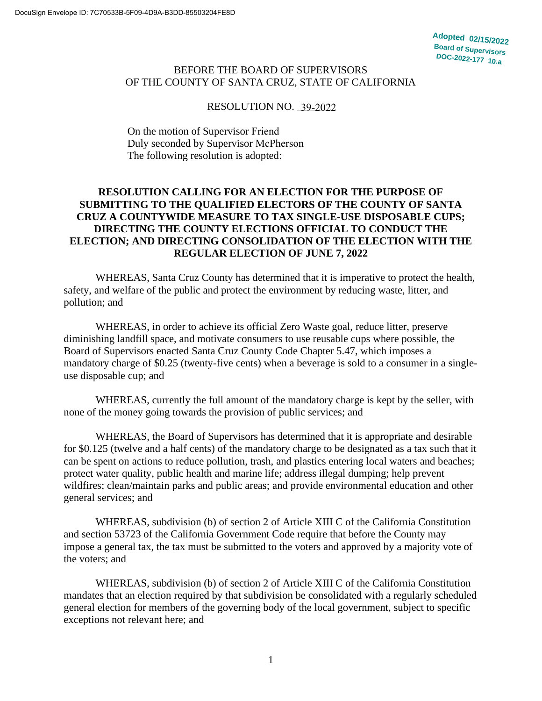#### BEFORE THE BOARD OF SUPERVISORS OF THE COUNTY OF SANTA CRUZ, STATE OF CALIFORNIA

## RESOLUTION NO. 39-2022

On the motion of Supervisor Friend Duly seconded by Supervisor McPherson The following resolution is adopted:

#### **RESOLUTION CALLING FOR AN ELECTION FOR THE PURPOSE OF SUBMITTING TO THE QUALIFIED ELECTORS OF THE COUNTY OF SANTA CRUZ A COUNTYWIDE MEASURE TO TAX SINGLE-USE DISPOSABLE CUPS; DIRECTING THE COUNTY ELECTIONS OFFICIAL TO CONDUCT THE ELECTION; AND DIRECTING CONSOLIDATION OF THE ELECTION WITH THE REGULAR ELECTION OF JUNE 7, 2022**

WHEREAS, Santa Cruz County has determined that it is imperative to protect the health, safety, and welfare of the public and protect the environment by reducing waste, litter, and pollution; and

WHEREAS, in order to achieve its official Zero Waste goal, reduce litter, preserve diminishing landfill space, and motivate consumers to use reusable cups where possible, the Board of Supervisors enacted Santa Cruz County Code Chapter 5.47, which imposes a mandatory charge of \$0.25 (twenty-five cents) when a beverage is sold to a consumer in a singleuse disposable cup; and

WHEREAS, currently the full amount of the mandatory charge is kept by the seller, with none of the money going towards the provision of public services; and

WHEREAS, the Board of Supervisors has determined that it is appropriate and desirable for \$0.125 (twelve and a half cents) of the mandatory charge to be designated as a tax such that it can be spent on actions to reduce pollution, trash, and plastics entering local waters and beaches; protect water quality, public health and marine life; address illegal dumping; help prevent wildfires; clean/maintain parks and public areas; and provide environmental education and other general services; and

WHEREAS, subdivision (b) of section 2 of Article XIII C of the California Constitution and section 53723 of the California Government Code require that before the County may impose a general tax, the tax must be submitted to the voters and approved by a majority vote of the voters; and

WHEREAS, subdivision (b) of section 2 of Article XIII C of the California Constitution mandates that an election required by that subdivision be consolidated with a regularly scheduled general election for members of the governing body of the local government, subject to specific exceptions not relevant here; and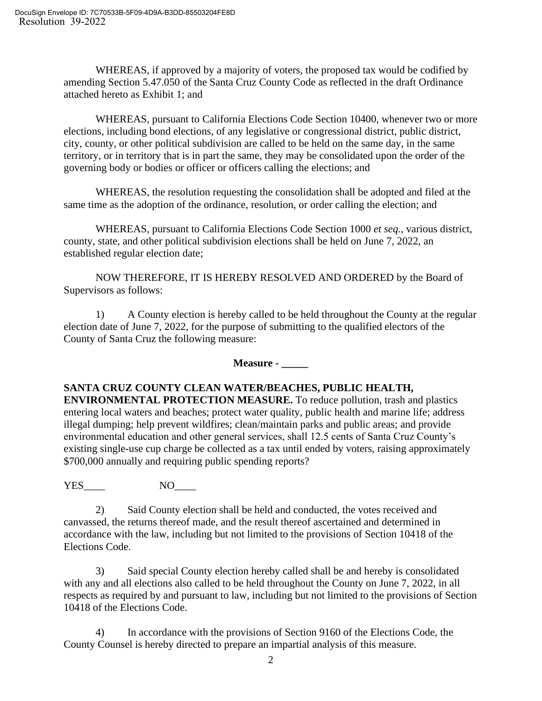WHEREAS, if approved by a majority of voters, the proposed tax would be codified by amending Section 5.47.050 of the Santa Cruz County Code as reflected in the draft Ordinance attached hereto as Exhibit 1; and

WHEREAS, pursuant to California Elections Code Section 10400, whenever two or more elections, including bond elections, of any legislative or congressional district, public district, city, county, or other political subdivision are called to be held on the same day, in the same territory, or in territory that is in part the same, they may be consolidated upon the order of the governing body or bodies or officer or officers calling the elections; and

WHEREAS, the resolution requesting the consolidation shall be adopted and filed at the same time as the adoption of the ordinance, resolution, or order calling the election; and

WHEREAS, pursuant to California Elections Code Section 1000 *et seq.*, various district, county, state, and other political subdivision elections shall be held on June 7, 2022, an established regular election date;

NOW THEREFORE, IT IS HEREBY RESOLVED AND ORDERED by the Board of Supervisors as follows:

1) A County election is hereby called to be held throughout the County at the regular election date of June 7, 2022, for the purpose of submitting to the qualified electors of the County of Santa Cruz the following measure:

**Measure - \_\_\_\_\_**

### **SANTA CRUZ COUNTY CLEAN WATER/BEACHES, PUBLIC HEALTH,**

**ENVIRONMENTAL PROTECTION MEASURE.** To reduce pollution, trash and plastics entering local waters and beaches; protect water quality, public health and marine life; address illegal dumping; help prevent wildfires; clean/maintain parks and public areas; and provide environmental education and other general services, shall 12.5 cents of Santa Cruz County's existing single-use cup charge be collected as a tax until ended by voters, raising approximately \$700,000 annually and requiring public spending reports?

YES\_\_\_\_ NO\_\_\_\_

2) Said County election shall be held and conducted, the votes received and canvassed, the returns thereof made, and the result thereof ascertained and determined in accordance with the law, including but not limited to the provisions of Section 10418 of the Elections Code.

3) Said special County election hereby called shall be and hereby is consolidated with any and all elections also called to be held throughout the County on June 7, 2022, in all respects as required by and pursuant to law, including but not limited to the provisions of Section 10418 of the Elections Code.

4) In accordance with the provisions of Section 9160 of the Elections Code, the County Counsel is hereby directed to prepare an impartial analysis of this measure.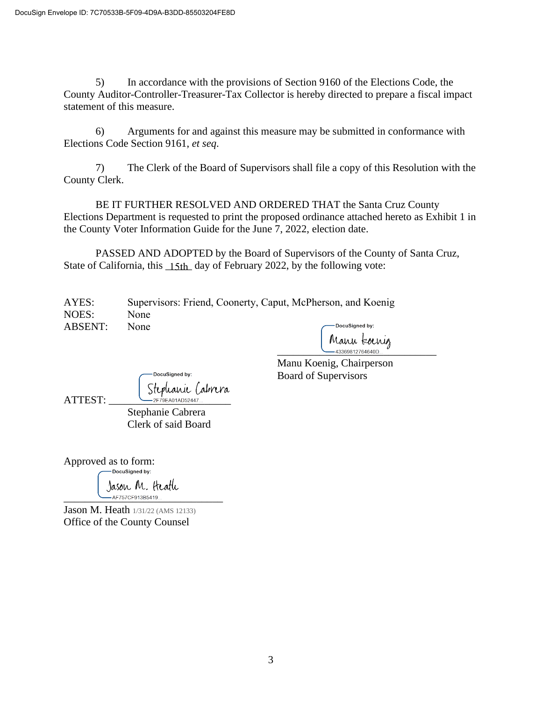5) In accordance with the provisions of Section 9160 of the Elections Code, the County Auditor-Controller-Treasurer-Tax Collector is hereby directed to prepare a fiscal impact statement of this measure.

6) Arguments for and against this measure may be submitted in conformance with Elections Code Section 9161, *et seq*.

7) The Clerk of the Board of Supervisors shall file a copy of this Resolution with the County Clerk.

BE IT FURTHER RESOLVED AND ORDERED THAT the Santa Cruz County Elections Department is requested to print the proposed ordinance attached hereto as Exhibit 1 in the County Voter Information Guide for the June 7, 2022, election date.

PASSED AND ADOPTED by the Board of Supervisors of the County of Santa Cruz, State of California, this **15th** day of February 2022, by the following vote:

| AYES:   |             | Supervisors: Friend, Coonerty, Caput, McPherson, and Koenig |
|---------|-------------|-------------------------------------------------------------|
| NOES:   | <b>None</b> |                                                             |
| ABSENT: | None        | DocuSigned by:                                              |

Manu kornig<br>— 43369812764640D...

Manu Koenig, Chairperson Board of Supervisors

|         | -DocuSigned by:                      |  |
|---------|--------------------------------------|--|
| ATTEST: | Stephanie Cabrera<br>2F79EA01AD52447 |  |
|         |                                      |  |

Stephanie Cabrera Clerk of said Board

Approved as to form: DocuSigned by:

Jason M. Heath .<br>– AF757CF913B5419...

Jason M. Heath 1/31/22 (AMS 12133) Office of the County Counsel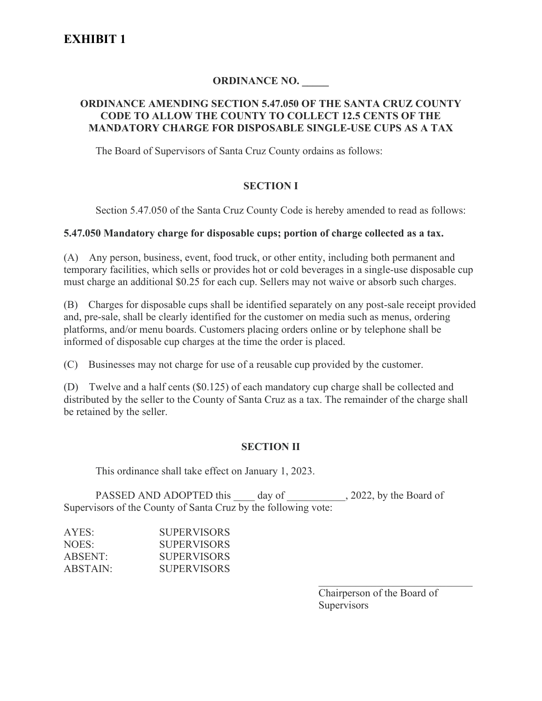# **ORDINANCE NO. \_\_\_\_\_**

#### **ORDINANCE AMENDING SECTION 5.47.050 OF THE SANTA CRUZ COUNTY CODE TO ALLOW THE COUNTY TO COLLECT 12.5 CENTS OF THE MANDATORY CHARGE FOR DISPOSABLE SINGLE-USE CUPS AS A TAX**

The Board of Supervisors of Santa Cruz County ordains as follows:

#### **SECTION I**

Section 5.47.050 of the Santa Cruz County Code is hereby amended to read as follows:

#### **5.47.050 Mandatory charge for disposable cups; portion of charge collected as a tax.**

(A) Any person, business, event, food truck, or other entity, including both permanent and temporary facilities, which sells or provides hot or cold beverages in a single-use disposable cup must charge an additional \$0.25 for each cup. Sellers may not waive or absorb such charges.

(B) Charges for disposable cups shall be identified separately on any post-sale receipt provided and, pre-sale, shall be clearly identified for the customer on media such as menus, ordering platforms, and/or menu boards. Customers placing orders online or by telephone shall be informed of disposable cup charges at the time the order is placed.

(C) Businesses may not charge for use of a reusable cup provided by the customer.

(D) Twelve and a half cents (\$0.125) of each mandatory cup charge shall be collected and distributed by the seller to the County of Santa Cruz as a tax. The remainder of the charge shall be retained by the seller.

### **SECTION II**

This ordinance shall take effect on January 1, 2023.

PASSED AND ADOPTED this day of \_\_\_\_\_\_\_\_\_, 2022, by the Board of Supervisors of the County of Santa Cruz by the following vote:

| AYES:    | <b>SUPERVISORS</b> |
|----------|--------------------|
| NOES:    | <b>SUPERVISORS</b> |
| ABSENT:  | <b>SUPERVISORS</b> |
| ABSTAIN: | <b>SUPERVISORS</b> |
|          |                    |

Chairperson of the Board of **Supervisors** 

 $\mathcal{L}_\mathcal{L}$  , which is a set of the set of the set of the set of the set of the set of the set of the set of the set of the set of the set of the set of the set of the set of the set of the set of the set of the set of